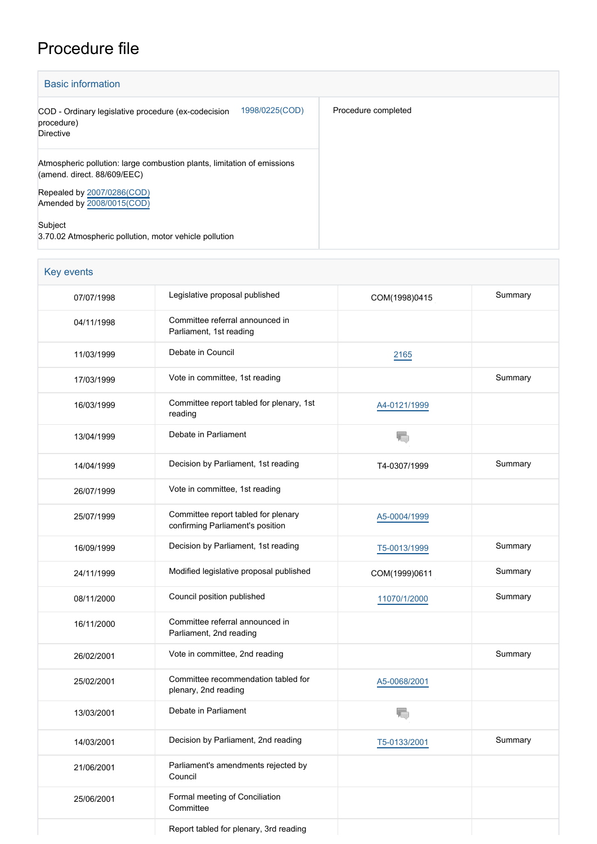## Procedure file

| <b>Basic information</b>                                                                               |                     |
|--------------------------------------------------------------------------------------------------------|---------------------|
| 1998/0225(COD)<br>COD - Ordinary legislative procedure (ex-codecision<br>procedure)<br>Directive       | Procedure completed |
| Atmospheric pollution: large combustion plants, limitation of emissions<br>(amend. direct. 88/609/EEC) |                     |
| Repealed by 2007/0286(COD)<br>Amended by 2008/0015(COD)                                                |                     |
| Subject<br>3.70.02 Atmospheric pollution, motor vehicle pollution                                      |                     |

| Key events |                                                                         |                          |         |
|------------|-------------------------------------------------------------------------|--------------------------|---------|
| 07/07/1998 | Legislative proposal published                                          | COM(1998)0415            | Summary |
| 04/11/1998 | Committee referral announced in<br>Parliament, 1st reading              |                          |         |
| 11/03/1999 | Debate in Council                                                       | 2165                     |         |
| 17/03/1999 | Vote in committee, 1st reading                                          |                          | Summary |
| 16/03/1999 | Committee report tabled for plenary, 1st<br>reading                     | A4-0121/1999             |         |
| 13/04/1999 | Debate in Parliament                                                    |                          |         |
| 14/04/1999 | Decision by Parliament, 1st reading                                     | T4-0307/1999             | Summary |
| 26/07/1999 | Vote in committee, 1st reading                                          |                          |         |
| 25/07/1999 | Committee report tabled for plenary<br>confirming Parliament's position | A5-0004/1999             |         |
| 16/09/1999 | Decision by Parliament, 1st reading                                     | T5-0013/1999             | Summary |
| 24/11/1999 | Modified legislative proposal published                                 | COM(1999)0611            | Summary |
| 08/11/2000 | Council position published                                              | 11070/1/2000             | Summary |
| 16/11/2000 | Committee referral announced in<br>Parliament, 2nd reading              |                          |         |
| 26/02/2001 | Vote in committee, 2nd reading                                          |                          | Summary |
| 25/02/2001 | Committee recommendation tabled for<br>plenary, 2nd reading             | A5-0068/2001             |         |
| 13/03/2001 | Debate in Parliament                                                    | $\overline{\phantom{a}}$ |         |
| 14/03/2001 | Decision by Parliament, 2nd reading                                     | T5-0133/2001             | Summary |
| 21/06/2001 | Parliament's amendments rejected by<br>Council                          |                          |         |
| 25/06/2001 | Formal meeting of Conciliation<br>Committee                             |                          |         |
|            | Report tabled for plenary, 3rd reading                                  |                          |         |